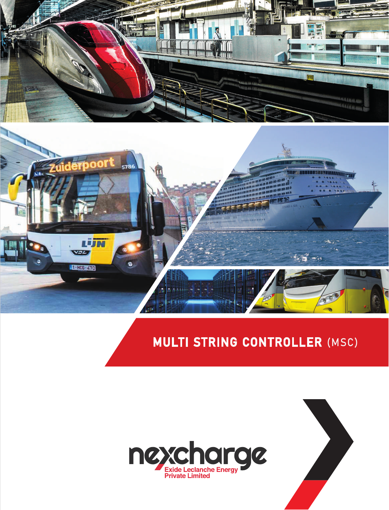



## MULTI STRING CONTROLLER (MSC)



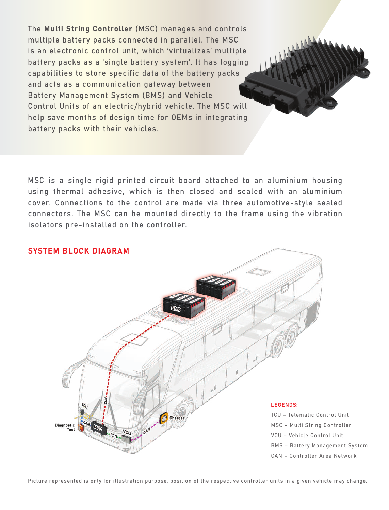The Multi String Controller (MSC) manages and controls multiple battery packs connected in parallel. The MSC is an electronic control unit, which 'virtualizes' multiple battery packs as a 'single battery system'. It has logging capabilities to store specific data of the battery packs and acts as a communication gateway between Battery Management System (BMS) and Vehicle Control Units of an electric/hybrid vehicle. The MSC will help save months of design time for OEMs in integrating battery packs with their vehicles.

MSC is a single rigid printed circuit board attached to an aluminium housing using thermal adhesive, which is then closed and sealed with an aluminium cover. Connections to the control are made via three automotive-style sealed connectors. The MSC can be mounted directly to the frame using the vibration isolators pre-installed on the controller.



Picture represented is only for illustration purpose, position of the respective controller units in a given vehicle may change.